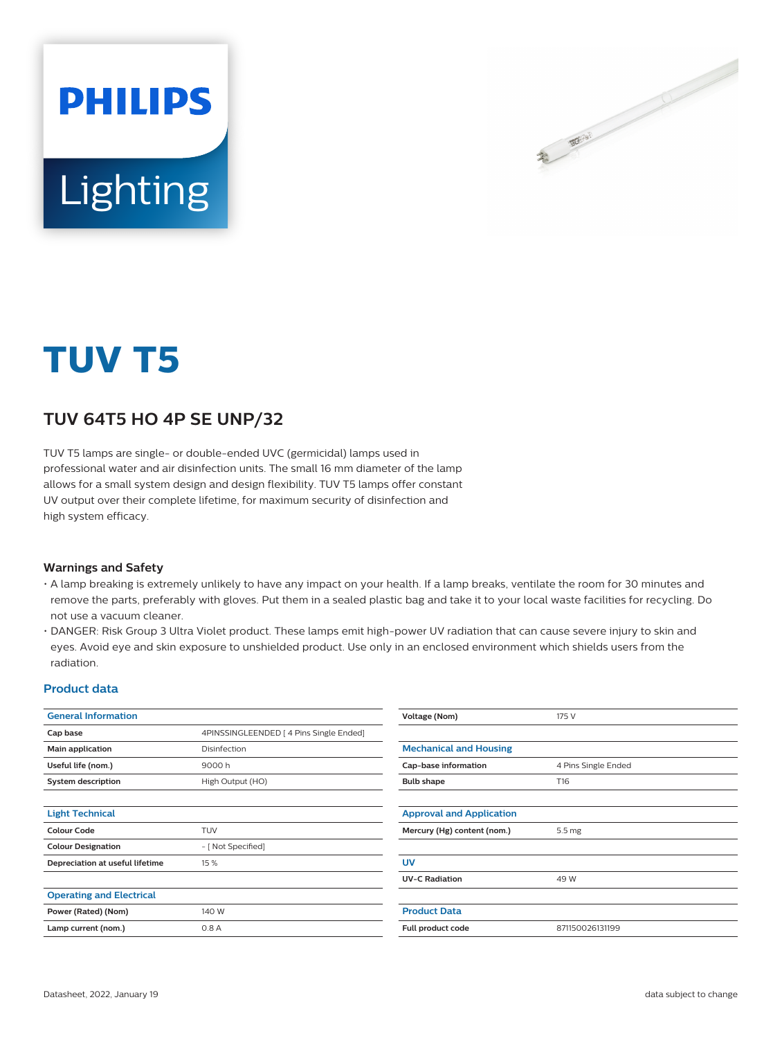

# Lighting

**PHILIPS** 

## **TUV T5**

### **TUV 64T5 HO 4P SE UNP/32**

TUV T5 lamps are single- or double-ended UVC (germicidal) lamps used in professional water and air disinfection units. The small 16 mm diameter of the lamp allows for a small system design and design flexibility. TUV T5 lamps offer constant UV output over their complete lifetime, for maximum security of disinfection and high system efficacy.

#### **Warnings and Safety**

- A lamp breaking is extremely unlikely to have any impact on your health. If a lamp breaks, ventilate the room for 30 minutes and remove the parts, preferably with gloves. Put them in a sealed plastic bag and take it to your local waste facilities for recycling. Do not use a vacuum cleaner.
- DANGER: Risk Group 3 Ultra Violet product. These lamps emit high-power UV radiation that can cause severe injury to skin and eyes. Avoid eye and skin exposure to unshielded product. Use only in an enclosed environment which shields users from the radiation.

#### **Product data**

| <b>General Information</b>      |                                         | Voltage (Nom)                   | 175 V               |
|---------------------------------|-----------------------------------------|---------------------------------|---------------------|
| Cap base                        | 4PINSSINGLEENDED   4 Pins Single Ended] |                                 |                     |
| Main application                | Disinfection                            | <b>Mechanical and Housing</b>   |                     |
| Useful life (nom.)              | 9000 h                                  | Cap-base information            | 4 Pins Single Ended |
| <b>System description</b>       | High Output (HO)                        | <b>Bulb shape</b>               | T16                 |
|                                 |                                         |                                 |                     |
| <b>Light Technical</b>          |                                         | <b>Approval and Application</b> |                     |
| <b>Colour Code</b>              | <b>TUV</b>                              | Mercury (Hg) content (nom.)     | 5.5 mg              |
| <b>Colour Designation</b>       | - [ Not Specified]                      |                                 |                     |
| Depreciation at useful lifetime | 15 %                                    | <b>UV</b>                       |                     |
|                                 |                                         | <b>UV-C Radiation</b>           | 49 W                |
| <b>Operating and Electrical</b> |                                         |                                 |                     |
| Power (Rated) (Nom)             | 140 W                                   | <b>Product Data</b>             |                     |
| Lamp current (nom.)             | 0.8A                                    | Full product code               | 871150026131199     |
|                                 |                                         |                                 |                     |